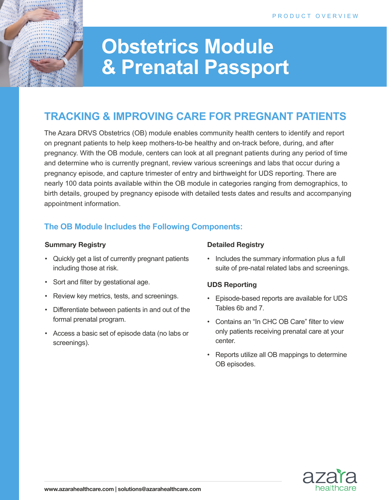# **Obstetrics Module & Prenatal Passport**

# **TRACKING & IMPROVING CARE FOR PREGNANT PATIENTS**

The Azara DRVS Obstetrics (OB) module enables community health centers to identify and report on pregnant patients to help keep mothers-to-be healthy and on-track before, during, and after pregnancy. With the OB module, centers can look at all pregnant patients during any period of time and determine who is currently pregnant, review various screenings and labs that occur during a pregnancy episode, and capture trimester of entry and birthweight for UDS reporting. There are nearly 100 data points available within the OB module in categories ranging from demographics, to birth details, grouped by pregnancy episode with detailed tests dates and results and accompanying appointment information.

### **The OB Module Includes the Following Components:**

#### **Summary Registry**

- Quickly get a list of currently pregnant patients including those at risk.
- Sort and filter by gestational age.
- Review key metrics, tests, and screenings.
- Differentiate between patients in and out of the formal prenatal program.
- Access a basic set of episode data (no labs or screenings).

#### **Detailed Registry**

• Includes the summary information plus a full suite of pre-natal related labs and screenings.

#### **UDS Reporting**

- Episode-based reports are available for UDS Tables 6b and 7.
- Contains an "In CHC OB Care" filter to view only patients receiving prenatal care at your center.
- Reports utilize all OB mappings to determine OB episodes.